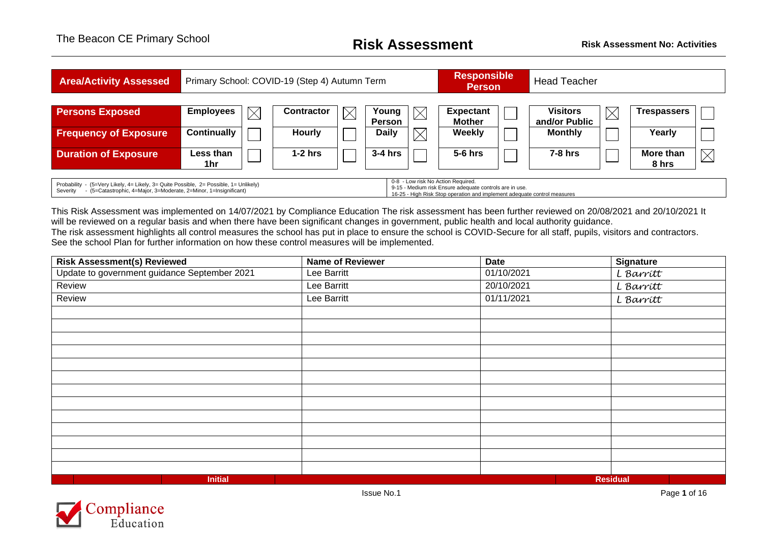| <b>Area/Activity Assessed</b>                                                                                                                                                                                                                                                                                                                       |                    | Primary School: COVID-19 (Step 4) Autumn Term |             |                               | <b>Responsible</b><br><b>Person</b> |                         | <b>Head Teacher</b> |                                 |             |                    |             |  |
|-----------------------------------------------------------------------------------------------------------------------------------------------------------------------------------------------------------------------------------------------------------------------------------------------------------------------------------------------------|--------------------|-----------------------------------------------|-------------|-------------------------------|-------------------------------------|-------------------------|---------------------|---------------------------------|-------------|--------------------|-------------|--|
| <b>Persons Exposed</b>                                                                                                                                                                                                                                                                                                                              | <b>Employees</b>   | <b>Contractor</b><br>$\boxtimes$              | $\boxtimes$ | Young                         |                                     | <b>Expectant</b>        |                     | <b>Visitors</b>                 | $\boxtimes$ | <b>Trespassers</b> |             |  |
| <b>Frequency of Exposure</b>                                                                                                                                                                                                                                                                                                                        | <b>Continually</b> | Hourly                                        |             | <b>Person</b><br><b>Daily</b> | $\boxtimes$                         | <b>Mother</b><br>Weekly |                     | and/or Public<br><b>Monthly</b> |             | Yearly             |             |  |
| <b>Duration of Exposure</b>                                                                                                                                                                                                                                                                                                                         | Less than<br>1hr   | $1-2$ hrs                                     |             | $3-4$ hrs                     |                                     | $5-6$ hrs               |                     | $7-8$ hrs                       |             | More than<br>8 hrs | $\boxtimes$ |  |
| 0-8 - Low risk No Action Required.<br>Probability - (5=Very Likely, 4= Likely, 3= Quite Possible, 2= Possible, 1= Unlikely)<br>9-15 - Medium risk Ensure adequate controls are in use.<br>- (5=Catastrophic, 4=Major, 3=Moderate, 2=Minor, 1=Insignificant)<br>Severity<br>16-25 - High Risk Stop operation and implement adequate control measures |                    |                                               |             |                               |                                     |                         |                     |                                 |             |                    |             |  |

This Risk Assessment was implemented on 14/07/2021 by Compliance Education The risk assessment has been further reviewed on 20/08/2021 and 20/10/2021 It will be reviewed on a regular basis and when there have been significant changes in government, public health and local authority guidance. The risk assessment highlights all control measures the school has put in place to ensure the school is COVID-Secure for all staff, pupils, visitors and contractors. See the school Plan for further information on how these control measures will be implemented.

| <b>Risk Assessment(s) Reviewed</b>           | <b>Name of Reviewer</b> | <b>Date</b> | <b>Signature</b> |
|----------------------------------------------|-------------------------|-------------|------------------|
| Update to government guidance September 2021 | Lee Barritt             | 01/10/2021  | L Barritt        |
| Review                                       | Lee Barritt             | 20/10/2021  | L Barritt        |
| Review                                       | Lee Barritt             | 01/11/2021  | L Barritt        |
|                                              |                         |             |                  |
|                                              |                         |             |                  |
|                                              |                         |             |                  |
|                                              |                         |             |                  |
|                                              |                         |             |                  |
|                                              |                         |             |                  |
|                                              |                         |             |                  |
|                                              |                         |             |                  |
|                                              |                         |             |                  |
|                                              |                         |             |                  |
|                                              |                         |             |                  |
|                                              |                         |             |                  |
|                                              |                         |             |                  |
| <b>Initial</b>                               |                         |             | <b>Residual</b>  |

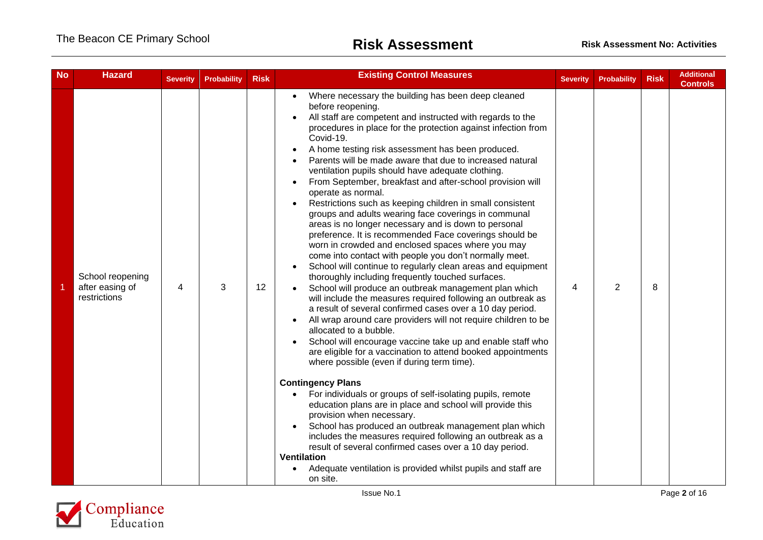| <b>No</b> | <b>Hazard</b>                                       | <b>Severity</b> | <b>Probability</b> | <b>Risk</b> | <b>Existing Control Measures</b>                                                                                                                                                                                                                                                                                                                                                                                                                                                                                                                                                                                                                                                                                                                                                                                                                                                                                                                                                                                                                                                                                                                                                                                                                                                                                                                                                                                                                                                                                                                                                                                                                                                                                                                                                                                                                                                                                     | <b>Severity</b> | <b>Probability</b> | <b>Risk</b> | <b>Additional</b><br><b>Controls</b> |
|-----------|-----------------------------------------------------|-----------------|--------------------|-------------|----------------------------------------------------------------------------------------------------------------------------------------------------------------------------------------------------------------------------------------------------------------------------------------------------------------------------------------------------------------------------------------------------------------------------------------------------------------------------------------------------------------------------------------------------------------------------------------------------------------------------------------------------------------------------------------------------------------------------------------------------------------------------------------------------------------------------------------------------------------------------------------------------------------------------------------------------------------------------------------------------------------------------------------------------------------------------------------------------------------------------------------------------------------------------------------------------------------------------------------------------------------------------------------------------------------------------------------------------------------------------------------------------------------------------------------------------------------------------------------------------------------------------------------------------------------------------------------------------------------------------------------------------------------------------------------------------------------------------------------------------------------------------------------------------------------------------------------------------------------------------------------------------------------------|-----------------|--------------------|-------------|--------------------------------------|
|           | School reopening<br>after easing of<br>restrictions | 4               | 3                  | 12          | Where necessary the building has been deep cleaned<br>$\bullet$<br>before reopening.<br>All staff are competent and instructed with regards to the<br>procedures in place for the protection against infection from<br>Covid-19.<br>A home testing risk assessment has been produced.<br>Parents will be made aware that due to increased natural<br>ventilation pupils should have adequate clothing.<br>From September, breakfast and after-school provision will<br>$\bullet$<br>operate as normal.<br>Restrictions such as keeping children in small consistent<br>groups and adults wearing face coverings in communal<br>areas is no longer necessary and is down to personal<br>preference. It is recommended Face coverings should be<br>worn in crowded and enclosed spaces where you may<br>come into contact with people you don't normally meet.<br>School will continue to regularly clean areas and equipment<br>thoroughly including frequently touched surfaces.<br>School will produce an outbreak management plan which<br>will include the measures required following an outbreak as<br>a result of several confirmed cases over a 10 day period.<br>All wrap around care providers will not require children to be<br>allocated to a bubble.<br>School will encourage vaccine take up and enable staff who<br>are eligible for a vaccination to attend booked appointments<br>where possible (even if during term time).<br><b>Contingency Plans</b><br>For individuals or groups of self-isolating pupils, remote<br>education plans are in place and school will provide this<br>provision when necessary.<br>School has produced an outbreak management plan which<br>includes the measures required following an outbreak as a<br>result of several confirmed cases over a 10 day period.<br><b>Ventilation</b><br>Adequate ventilation is provided whilst pupils and staff are<br>on site. | 4               | $\overline{2}$     | 8           |                                      |

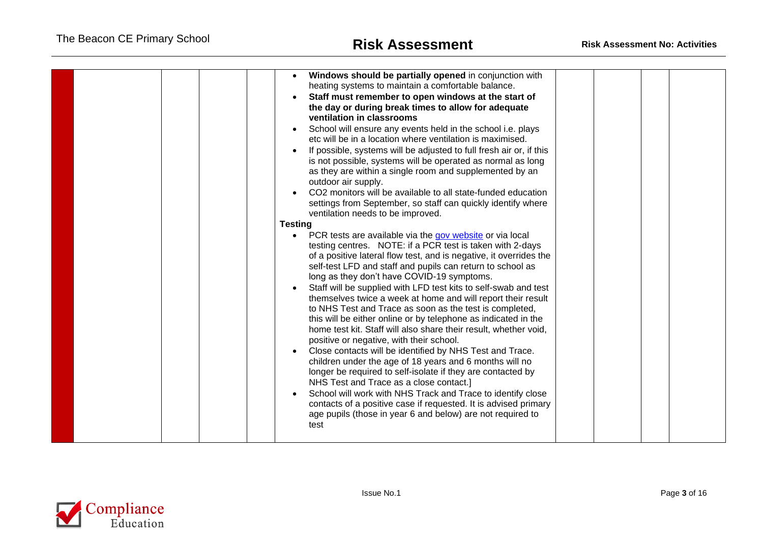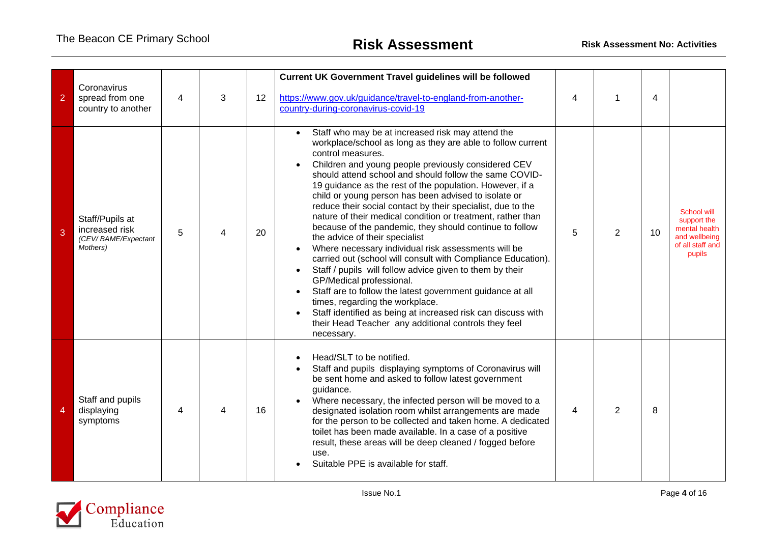| $\overline{2}$ | Coronavirus<br>spread from one<br>country to another                 | 4 | 3 | 12 | <b>Current UK Government Travel guidelines will be followed</b><br>https://www.gov.uk/guidance/travel-to-england-from-another-<br>country-during-coronavirus-covid-19                                                                                                                                                                                                                                                                                                                                                                                                                                                                                                                                                                                                                                                                                                                                                                                                                                                                                      | 4  | 1             | 4  |                                                                                                   |
|----------------|----------------------------------------------------------------------|---|---|----|------------------------------------------------------------------------------------------------------------------------------------------------------------------------------------------------------------------------------------------------------------------------------------------------------------------------------------------------------------------------------------------------------------------------------------------------------------------------------------------------------------------------------------------------------------------------------------------------------------------------------------------------------------------------------------------------------------------------------------------------------------------------------------------------------------------------------------------------------------------------------------------------------------------------------------------------------------------------------------------------------------------------------------------------------------|----|---------------|----|---------------------------------------------------------------------------------------------------|
| 3              | Staff/Pupils at<br>increased risk<br>(CEV/BAME/Expectant<br>Mothers) | 5 |   | 20 | Staff who may be at increased risk may attend the<br>workplace/school as long as they are able to follow current<br>control measures.<br>Children and young people previously considered CEV<br>should attend school and should follow the same COVID-<br>19 guidance as the rest of the population. However, if a<br>child or young person has been advised to isolate or<br>reduce their social contact by their specialist, due to the<br>nature of their medical condition or treatment, rather than<br>because of the pandemic, they should continue to follow<br>the advice of their specialist<br>Where necessary individual risk assessments will be<br>carried out (school will consult with Compliance Education).<br>Staff / pupils will follow advice given to them by their<br>GP/Medical professional.<br>Staff are to follow the latest government guidance at all<br>times, regarding the workplace.<br>Staff identified as being at increased risk can discuss with<br>their Head Teacher any additional controls they feel<br>necessary. | 5. | $\mathcal{P}$ | 10 | <b>School will</b><br>support the<br>mental health<br>and wellbeing<br>of all staff and<br>pupils |
|                | Staff and pupils<br>displaying<br>symptoms                           | 4 |   | 16 | Head/SLT to be notified.<br>Staff and pupils displaying symptoms of Coronavirus will<br>be sent home and asked to follow latest government<br>guidance.<br>Where necessary, the infected person will be moved to a<br>designated isolation room whilst arrangements are made<br>for the person to be collected and taken home. A dedicated<br>toilet has been made available. In a case of a positive<br>result, these areas will be deep cleaned / fogged before<br>use.<br>Suitable PPE is available for staff.                                                                                                                                                                                                                                                                                                                                                                                                                                                                                                                                          | 4  | 2             | 8  |                                                                                                   |

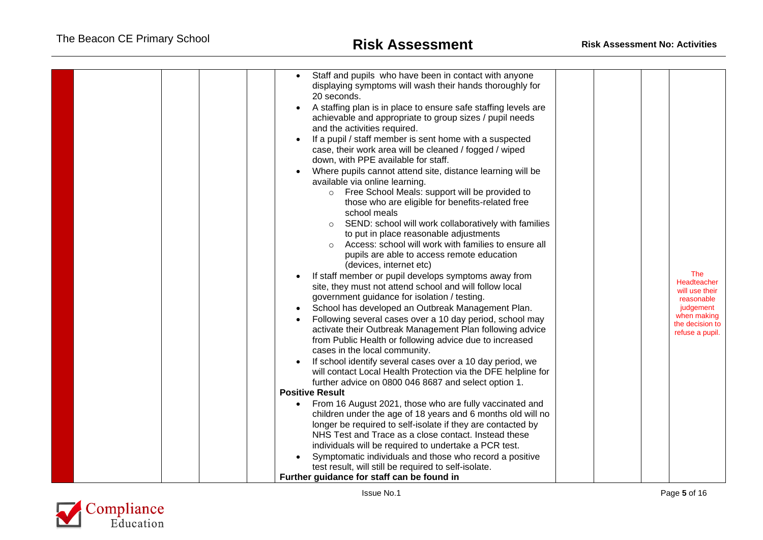| Staff and pupils who have been in contact with anyone<br>displaying symptoms will wash their hands thoroughly for<br>20 seconds.<br>A staffing plan is in place to ensure safe staffing levels are<br>achievable and appropriate to group sizes / pupil needs<br>and the activities required.<br>If a pupil / staff member is sent home with a suspected<br>case, their work area will be cleaned / fogged / wiped<br>down, with PPE available for staff.<br>Where pupils cannot attend site, distance learning will be<br>available via online learning.<br>o Free School Meals: support will be provided to<br>those who are eligible for benefits-related free<br>school meals<br>SEND: school will work collaboratively with families<br>$\circ$<br>to put in place reasonable adjustments<br>Access: school will work with families to ensure all<br>pupils are able to access remote education<br>(devices, internet etc)<br>If staff member or pupil develops symptoms away from<br>site, they must not attend school and will follow local<br>government guidance for isolation / testing.<br>School has developed an Outbreak Management Plan.<br>Following several cases over a 10 day period, school may<br>activate their Outbreak Management Plan following advice<br>from Public Health or following advice due to increased<br>cases in the local community.<br>If school identify several cases over a 10 day period, we<br>will contact Local Health Protection via the DFE helpline for<br>further advice on 0800 046 8687 and select option 1.<br><b>Positive Result</b><br>From 16 August 2021, those who are fully vaccinated and<br>children under the age of 18 years and 6 months old will no<br>longer be required to self-isolate if they are contacted by<br>NHS Test and Trace as a close contact. Instead these<br>individuals will be required to undertake a PCR test.<br>Symptomatic individuals and those who record a positive<br>test result, will still be required to self-isolate.<br>Further guidance for staff can be found in | The<br>Headteacher<br>will use their<br>reasonable<br>judgement<br>when making<br>the decision to<br>refuse a pupil. |
|------------------------------------------------------------------------------------------------------------------------------------------------------------------------------------------------------------------------------------------------------------------------------------------------------------------------------------------------------------------------------------------------------------------------------------------------------------------------------------------------------------------------------------------------------------------------------------------------------------------------------------------------------------------------------------------------------------------------------------------------------------------------------------------------------------------------------------------------------------------------------------------------------------------------------------------------------------------------------------------------------------------------------------------------------------------------------------------------------------------------------------------------------------------------------------------------------------------------------------------------------------------------------------------------------------------------------------------------------------------------------------------------------------------------------------------------------------------------------------------------------------------------------------------------------------------------------------------------------------------------------------------------------------------------------------------------------------------------------------------------------------------------------------------------------------------------------------------------------------------------------------------------------------------------------------------------------------------------------------------------------------------------------------------------------------------------|----------------------------------------------------------------------------------------------------------------------|

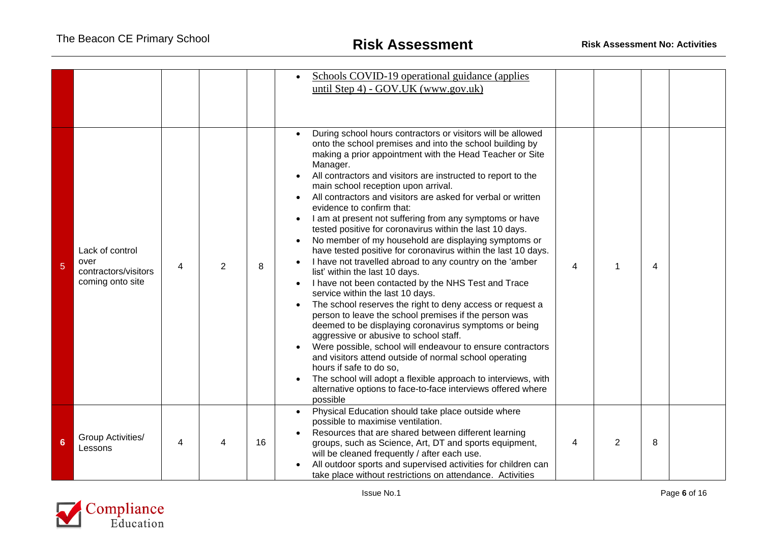|   |                                                                     |   |   |    | Schools COVID-19 operational guidance (applies<br>until Step 4) - GOV.UK (www.gov.uk)                                                                                                                                                                                                                                                                                                                                                                                                                                                                                                                                                                                                                                                                                                                                                                                                                                                                                                                                                                                                                                                                                                                                                                                                                                                                                                                                     |   |                |   |  |
|---|---------------------------------------------------------------------|---|---|----|---------------------------------------------------------------------------------------------------------------------------------------------------------------------------------------------------------------------------------------------------------------------------------------------------------------------------------------------------------------------------------------------------------------------------------------------------------------------------------------------------------------------------------------------------------------------------------------------------------------------------------------------------------------------------------------------------------------------------------------------------------------------------------------------------------------------------------------------------------------------------------------------------------------------------------------------------------------------------------------------------------------------------------------------------------------------------------------------------------------------------------------------------------------------------------------------------------------------------------------------------------------------------------------------------------------------------------------------------------------------------------------------------------------------------|---|----------------|---|--|
| 5 | Lack of control<br>over<br>contractors/visitors<br>coming onto site | 4 | 2 | 8  | During school hours contractors or visitors will be allowed<br>onto the school premises and into the school building by<br>making a prior appointment with the Head Teacher or Site<br>Manager.<br>All contractors and visitors are instructed to report to the<br>main school reception upon arrival.<br>All contractors and visitors are asked for verbal or written<br>$\bullet$<br>evidence to confirm that:<br>I am at present not suffering from any symptoms or have<br>$\bullet$<br>tested positive for coronavirus within the last 10 days.<br>No member of my household are displaying symptoms or<br>have tested positive for coronavirus within the last 10 days.<br>I have not travelled abroad to any country on the 'amber<br>list' within the last 10 days.<br>I have not been contacted by the NHS Test and Trace<br>$\bullet$<br>service within the last 10 days.<br>The school reserves the right to deny access or request a<br>$\bullet$<br>person to leave the school premises if the person was<br>deemed to be displaying coronavirus symptoms or being<br>aggressive or abusive to school staff.<br>Were possible, school will endeavour to ensure contractors<br>and visitors attend outside of normal school operating<br>hours if safe to do so,<br>The school will adopt a flexible approach to interviews, with<br>alternative options to face-to-face interviews offered where<br>possible | 4 |                | 4 |  |
| 6 | Group Activities/<br>Lessons                                        | 4 |   | 16 | Physical Education should take place outside where<br>$\bullet$<br>possible to maximise ventilation.<br>Resources that are shared between different learning<br>groups, such as Science, Art, DT and sports equipment,<br>will be cleaned frequently / after each use.<br>All outdoor sports and supervised activities for children can<br>take place without restrictions on attendance. Activities                                                                                                                                                                                                                                                                                                                                                                                                                                                                                                                                                                                                                                                                                                                                                                                                                                                                                                                                                                                                                      | 4 | $\overline{2}$ | 8 |  |

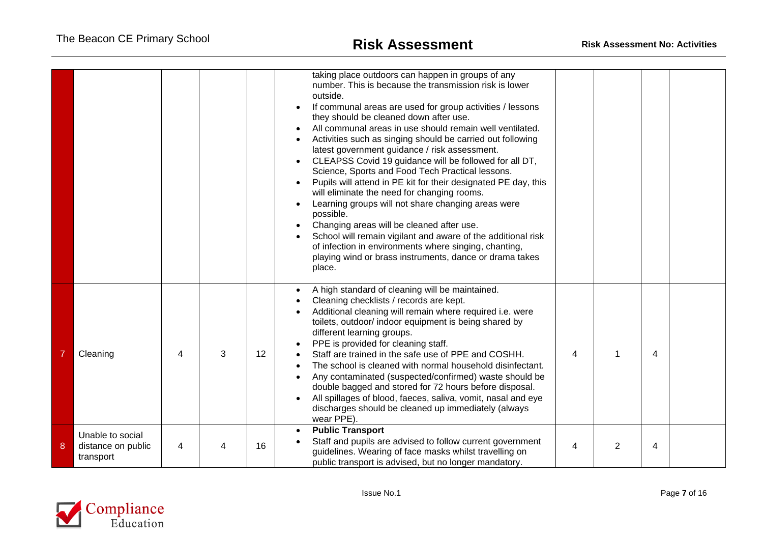|   |                                                     |   |   |    | taking place outdoors can happen in groups of any<br>number. This is because the transmission risk is lower<br>outside.<br>If communal areas are used for group activities / lessons<br>they should be cleaned down after use.<br>All communal areas in use should remain well ventilated.<br>Activities such as singing should be carried out following<br>latest government guidance / risk assessment.<br>CLEAPSS Covid 19 guidance will be followed for all DT,<br>Science, Sports and Food Tech Practical lessons.<br>Pupils will attend in PE kit for their designated PE day, this<br>will eliminate the need for changing rooms.<br>Learning groups will not share changing areas were<br>possible.<br>Changing areas will be cleaned after use.<br>School will remain vigilant and aware of the additional risk<br>of infection in environments where singing, chanting,<br>playing wind or brass instruments, dance or drama takes<br>place. |   |                |   |  |
|---|-----------------------------------------------------|---|---|----|--------------------------------------------------------------------------------------------------------------------------------------------------------------------------------------------------------------------------------------------------------------------------------------------------------------------------------------------------------------------------------------------------------------------------------------------------------------------------------------------------------------------------------------------------------------------------------------------------------------------------------------------------------------------------------------------------------------------------------------------------------------------------------------------------------------------------------------------------------------------------------------------------------------------------------------------------------|---|----------------|---|--|
|   | Cleaning                                            | 4 | 3 | 12 | A high standard of cleaning will be maintained.<br>Cleaning checklists / records are kept.<br>Additional cleaning will remain where required i.e. were<br>toilets, outdoor/ indoor equipment is being shared by<br>different learning groups.<br>PPE is provided for cleaning staff.<br>Staff are trained in the safe use of PPE and COSHH.<br>The school is cleaned with normal household disinfectant.<br>Any contaminated (suspected/confirmed) waste should be<br>double bagged and stored for 72 hours before disposal.<br>All spillages of blood, faeces, saliva, vomit, nasal and eye<br>discharges should be cleaned up immediately (always<br>wear PPE).                                                                                                                                                                                                                                                                                      | 4 |                | 4 |  |
| 8 | Unable to social<br>distance on public<br>transport | 4 | 4 | 16 | <b>Public Transport</b><br>Staff and pupils are advised to follow current government<br>guidelines. Wearing of face masks whilst travelling on<br>public transport is advised, but no longer mandatory.                                                                                                                                                                                                                                                                                                                                                                                                                                                                                                                                                                                                                                                                                                                                                | 4 | $\overline{2}$ | 4 |  |

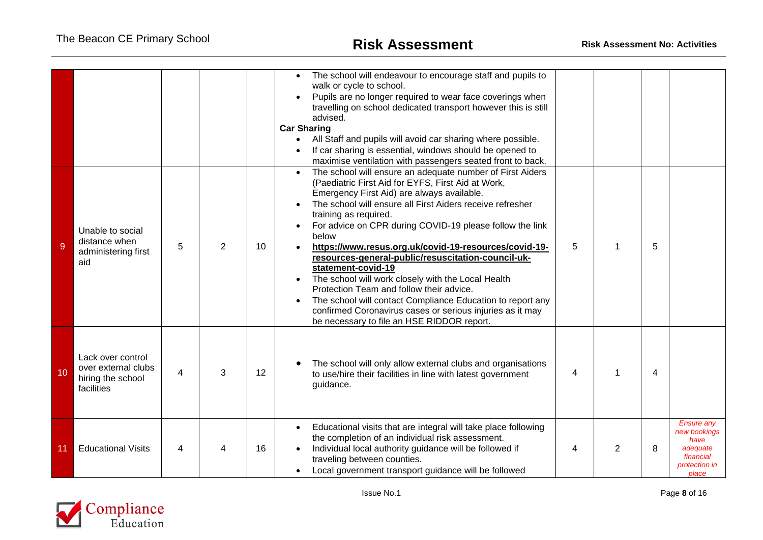|    |                                                                             |   |   |    | The school will endeavour to encourage staff and pupils to<br>walk or cycle to school.<br>Pupils are no longer required to wear face coverings when<br>travelling on school dedicated transport however this is still<br>advised.<br><b>Car Sharing</b><br>All Staff and pupils will avoid car sharing where possible.<br>If car sharing is essential, windows should be opened to<br>maximise ventilation with passengers seated front to back.                                                                                                                                                                                                                                                                                                      |   |             |   |                                                                                              |
|----|-----------------------------------------------------------------------------|---|---|----|-------------------------------------------------------------------------------------------------------------------------------------------------------------------------------------------------------------------------------------------------------------------------------------------------------------------------------------------------------------------------------------------------------------------------------------------------------------------------------------------------------------------------------------------------------------------------------------------------------------------------------------------------------------------------------------------------------------------------------------------------------|---|-------------|---|----------------------------------------------------------------------------------------------|
| 9  | Unable to social<br>distance when<br>administering first<br>aid             | 5 | 2 | 10 | The school will ensure an adequate number of First Aiders<br>$\bullet$<br>(Paediatric First Aid for EYFS, First Aid at Work,<br>Emergency First Aid) are always available.<br>The school will ensure all First Aiders receive refresher<br>training as required.<br>For advice on CPR during COVID-19 please follow the link<br>below<br>https://www.resus.org.uk/covid-19-resources/covid-19-<br>resources-general-public/resuscitation-council-uk-<br>statement-covid-19<br>The school will work closely with the Local Health<br>Protection Team and follow their advice.<br>The school will contact Compliance Education to report any<br>confirmed Coronavirus cases or serious injuries as it may<br>be necessary to file an HSE RIDDOR report. | 5 | -1          | 5 |                                                                                              |
| 10 | Lack over control<br>over external clubs<br>hiring the school<br>facilities | 4 | 3 | 12 | The school will only allow external clubs and organisations<br>to use/hire their facilities in line with latest government<br>guidance.                                                                                                                                                                                                                                                                                                                                                                                                                                                                                                                                                                                                               | 4 | $\mathbf 1$ | 4 |                                                                                              |
| 11 | <b>Educational Visits</b>                                                   | 4 |   | 16 | Educational visits that are integral will take place following<br>the completion of an individual risk assessment.<br>Individual local authority guidance will be followed if<br>traveling between counties.<br>Local government transport guidance will be followed                                                                                                                                                                                                                                                                                                                                                                                                                                                                                  | 4 | 2           | 8 | <b>Ensure any</b><br>new bookings<br>have<br>adequate<br>financial<br>protection in<br>place |

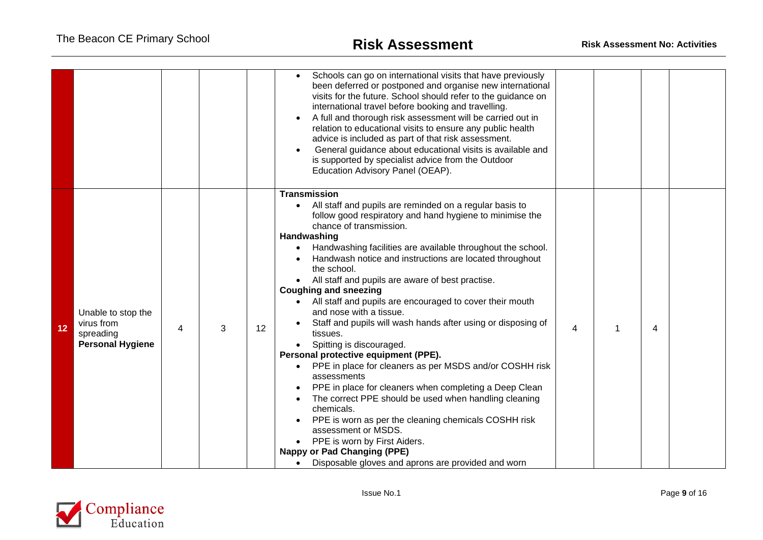|    |                                                                          |   |   |    | Schools can go on international visits that have previously<br>been deferred or postponed and organise new international<br>visits for the future. School should refer to the guidance on<br>international travel before booking and travelling.<br>A full and thorough risk assessment will be carried out in<br>relation to educational visits to ensure any public health<br>advice is included as part of that risk assessment.<br>General guidance about educational visits is available and<br>is supported by specialist advice from the Outdoor<br>Education Advisory Panel (OEAP).                                                                                                                                                                                                                                                                                                                                                                                                                                                                                    |   |   |   |  |
|----|--------------------------------------------------------------------------|---|---|----|--------------------------------------------------------------------------------------------------------------------------------------------------------------------------------------------------------------------------------------------------------------------------------------------------------------------------------------------------------------------------------------------------------------------------------------------------------------------------------------------------------------------------------------------------------------------------------------------------------------------------------------------------------------------------------------------------------------------------------------------------------------------------------------------------------------------------------------------------------------------------------------------------------------------------------------------------------------------------------------------------------------------------------------------------------------------------------|---|---|---|--|
| 12 | Unable to stop the<br>virus from<br>spreading<br><b>Personal Hygiene</b> | 4 | 3 | 12 | <b>Transmission</b><br>All staff and pupils are reminded on a regular basis to<br>follow good respiratory and hand hygiene to minimise the<br>chance of transmission.<br>Handwashing<br>Handwashing facilities are available throughout the school.<br>Handwash notice and instructions are located throughout<br>the school.<br>All staff and pupils are aware of best practise.<br><b>Coughing and sneezing</b><br>All staff and pupils are encouraged to cover their mouth<br>and nose with a tissue.<br>Staff and pupils will wash hands after using or disposing of<br>tissues.<br>Spitting is discouraged.<br>Personal protective equipment (PPE).<br>PPE in place for cleaners as per MSDS and/or COSHH risk<br>assessments<br>PPE in place for cleaners when completing a Deep Clean<br>The correct PPE should be used when handling cleaning<br>chemicals.<br>PPE is worn as per the cleaning chemicals COSHH risk<br>assessment or MSDS.<br>PPE is worn by First Aiders.<br><b>Nappy or Pad Changing (PPE)</b><br>Disposable gloves and aprons are provided and worn | 4 | 1 | 4 |  |

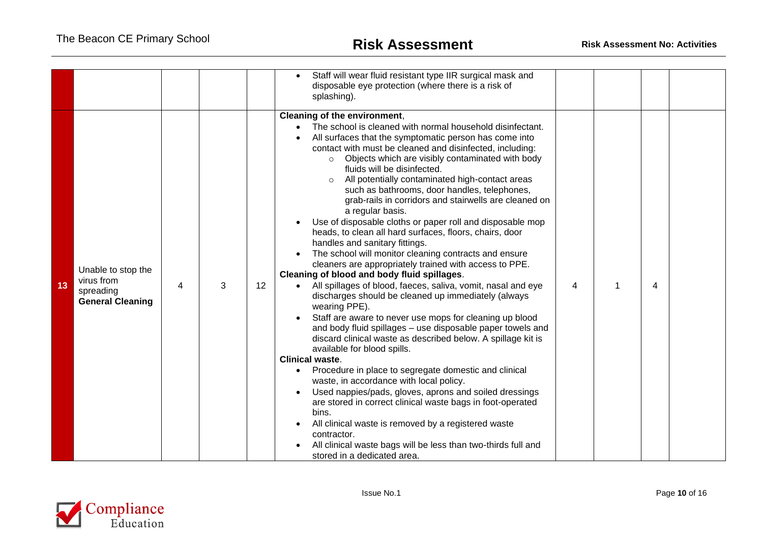|    |                                                                          |   |   |    | Staff will wear fluid resistant type IIR surgical mask and<br>disposable eye protection (where there is a risk of<br>splashing).                                                                                                                                                                                                                                                                                                                                                                                                                                                                                                                                                                                                                                                                                                                                                                                                                                                                                                                                                                                                                                                                                                                                                                                                                                                                                                                                                                                                                                                                                                                           |   |   |   |  |
|----|--------------------------------------------------------------------------|---|---|----|------------------------------------------------------------------------------------------------------------------------------------------------------------------------------------------------------------------------------------------------------------------------------------------------------------------------------------------------------------------------------------------------------------------------------------------------------------------------------------------------------------------------------------------------------------------------------------------------------------------------------------------------------------------------------------------------------------------------------------------------------------------------------------------------------------------------------------------------------------------------------------------------------------------------------------------------------------------------------------------------------------------------------------------------------------------------------------------------------------------------------------------------------------------------------------------------------------------------------------------------------------------------------------------------------------------------------------------------------------------------------------------------------------------------------------------------------------------------------------------------------------------------------------------------------------------------------------------------------------------------------------------------------------|---|---|---|--|
| 13 | Unable to stop the<br>virus from<br>spreading<br><b>General Cleaning</b> | 4 | 3 | 12 | Cleaning of the environment,<br>The school is cleaned with normal household disinfectant.<br>All surfaces that the symptomatic person has come into<br>contact with must be cleaned and disinfected, including:<br>o Objects which are visibly contaminated with body<br>fluids will be disinfected.<br>All potentially contaminated high-contact areas<br>$\circ$<br>such as bathrooms, door handles, telephones,<br>grab-rails in corridors and stairwells are cleaned on<br>a regular basis.<br>Use of disposable cloths or paper roll and disposable mop<br>heads, to clean all hard surfaces, floors, chairs, door<br>handles and sanitary fittings.<br>The school will monitor cleaning contracts and ensure<br>cleaners are appropriately trained with access to PPE.<br>Cleaning of blood and body fluid spillages.<br>All spillages of blood, faeces, saliva, vomit, nasal and eye<br>$\bullet$<br>discharges should be cleaned up immediately (always<br>wearing PPE).<br>Staff are aware to never use mops for cleaning up blood<br>and body fluid spillages - use disposable paper towels and<br>discard clinical waste as described below. A spillage kit is<br>available for blood spills.<br><b>Clinical waste.</b><br>Procedure in place to segregate domestic and clinical<br>$\bullet$<br>waste, in accordance with local policy.<br>Used nappies/pads, gloves, aprons and soiled dressings<br>are stored in correct clinical waste bags in foot-operated<br>bins.<br>All clinical waste is removed by a registered waste<br>contractor.<br>All clinical waste bags will be less than two-thirds full and<br>stored in a dedicated area. | 4 | 1 | 4 |  |

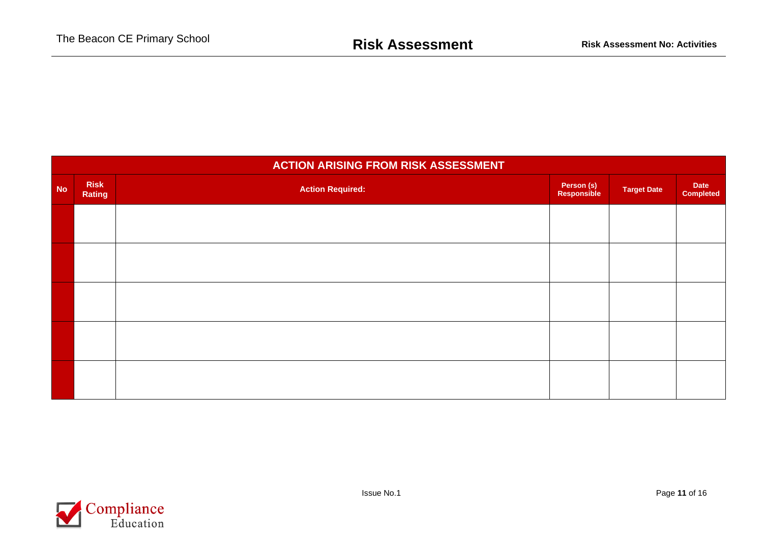|           | <b>ACTION ARISING FROM RISK ASSESSMENT</b> |                         |                           |                    |                          |  |  |  |  |  |  |  |  |
|-----------|--------------------------------------------|-------------------------|---------------------------|--------------------|--------------------------|--|--|--|--|--|--|--|--|
| <b>No</b> | <b>Risk</b><br>Rating                      | <b>Action Required:</b> | Person (s)<br>Responsible | <b>Target Date</b> | Date<br><b>Completed</b> |  |  |  |  |  |  |  |  |
|           |                                            |                         |                           |                    |                          |  |  |  |  |  |  |  |  |
|           |                                            |                         |                           |                    |                          |  |  |  |  |  |  |  |  |
|           |                                            |                         |                           |                    |                          |  |  |  |  |  |  |  |  |
|           |                                            |                         |                           |                    |                          |  |  |  |  |  |  |  |  |
|           |                                            |                         |                           |                    |                          |  |  |  |  |  |  |  |  |
|           |                                            |                         |                           |                    |                          |  |  |  |  |  |  |  |  |
|           |                                            |                         |                           |                    |                          |  |  |  |  |  |  |  |  |
|           |                                            |                         |                           |                    |                          |  |  |  |  |  |  |  |  |

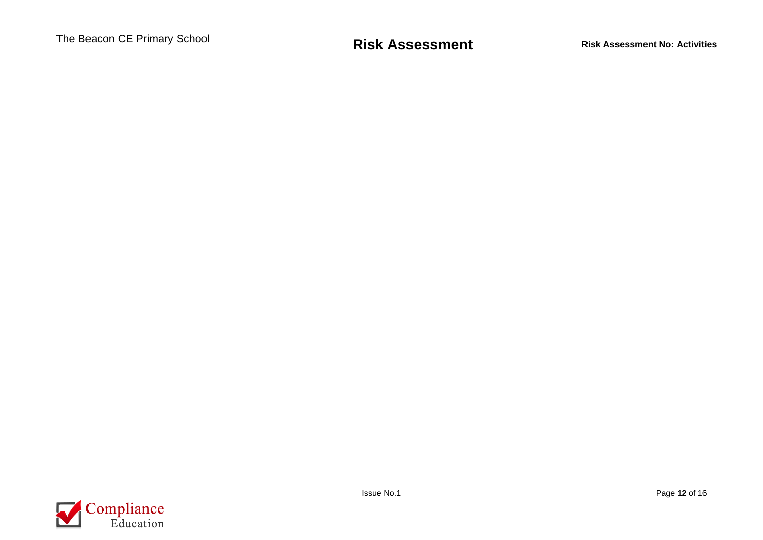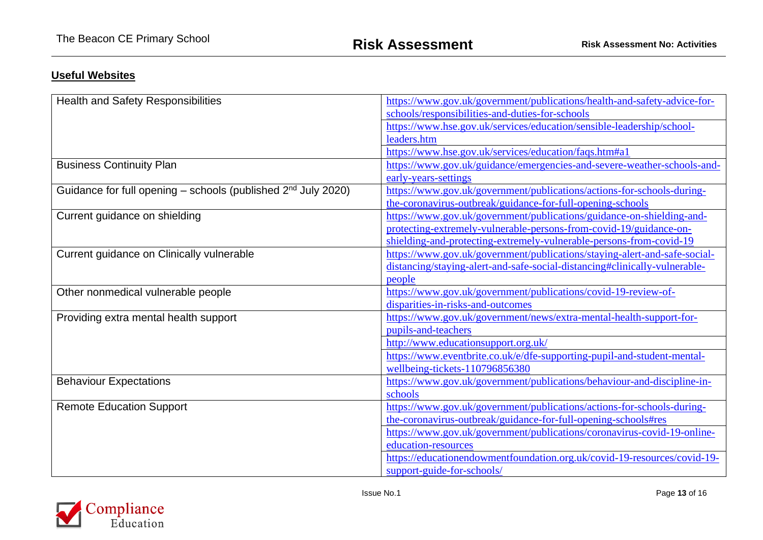## **Useful Websites**

| <b>Health and Safety Responsibilities</b>                         | https://www.gov.uk/government/publications/health-and-safety-advice-for-   |  |  |  |
|-------------------------------------------------------------------|----------------------------------------------------------------------------|--|--|--|
|                                                                   | schools/responsibilities-and-duties-for-schools                            |  |  |  |
|                                                                   | https://www.hse.gov.uk/services/education/sensible-leadership/school-      |  |  |  |
|                                                                   | leaders.htm                                                                |  |  |  |
|                                                                   | https://www.hse.gov.uk/services/education/faqs.htm#a1                      |  |  |  |
| <b>Business Continuity Plan</b>                                   | https://www.gov.uk/guidance/emergencies-and-severe-weather-schools-and-    |  |  |  |
|                                                                   | early-years-settings                                                       |  |  |  |
| Guidance for full opening $-$ schools (published $2nd$ July 2020) | https://www.gov.uk/government/publications/actions-for-schools-during-     |  |  |  |
|                                                                   | the-coronavirus-outbreak/guidance-for-full-opening-schools                 |  |  |  |
| Current guidance on shielding                                     | https://www.gov.uk/government/publications/guidance-on-shielding-and-      |  |  |  |
|                                                                   | protecting-extremely-vulnerable-persons-from-covid-19/guidance-on-         |  |  |  |
|                                                                   | shielding-and-protecting-extremely-vulnerable-persons-from-covid-19        |  |  |  |
| Current guidance on Clinically vulnerable                         | https://www.gov.uk/government/publications/staying-alert-and-safe-social-  |  |  |  |
|                                                                   | distancing/staying-alert-and-safe-social-distancing#clinically-vulnerable- |  |  |  |
|                                                                   | people                                                                     |  |  |  |
| Other nonmedical vulnerable people                                | https://www.gov.uk/government/publications/covid-19-review-of-             |  |  |  |
|                                                                   | disparities-in-risks-and-outcomes                                          |  |  |  |
| Providing extra mental health support                             | https://www.gov.uk/government/news/extra-mental-health-support-for-        |  |  |  |
|                                                                   | pupils-and-teachers                                                        |  |  |  |
|                                                                   | http://www.educationsupport.org.uk/                                        |  |  |  |
|                                                                   | https://www.eventbrite.co.uk/e/dfe-supporting-pupil-and-student-mental-    |  |  |  |
|                                                                   | wellbeing-tickets-110796856380                                             |  |  |  |
| <b>Behaviour Expectations</b>                                     | https://www.gov.uk/government/publications/behaviour-and-discipline-in-    |  |  |  |
|                                                                   | schools                                                                    |  |  |  |
| <b>Remote Education Support</b>                                   | https://www.gov.uk/government/publications/actions-for-schools-during-     |  |  |  |
|                                                                   | the-coronavirus-outbreak/guidance-for-full-opening-schools#res             |  |  |  |
|                                                                   | https://www.gov.uk/government/publications/coronavirus-covid-19-online-    |  |  |  |
|                                                                   | education-resources                                                        |  |  |  |
|                                                                   | https://educationendowmentfoundation.org.uk/covid-19-resources/covid-19-   |  |  |  |
|                                                                   | support-guide-for-schools/                                                 |  |  |  |

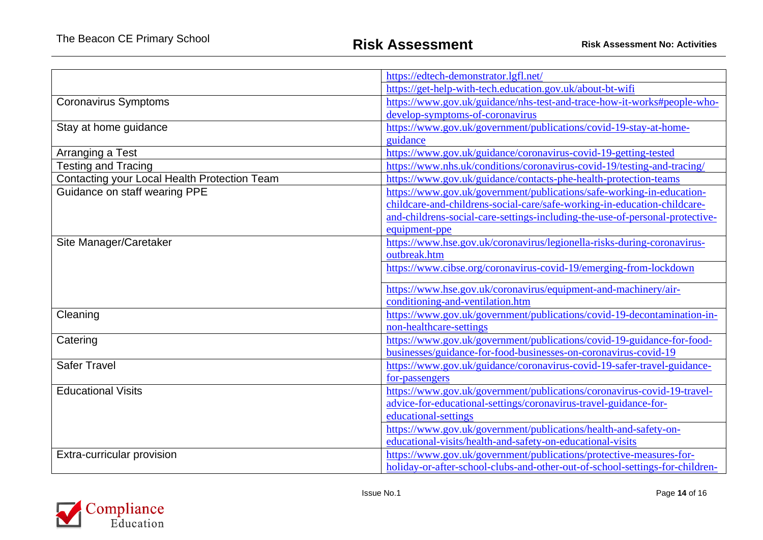|                                              | https://edtech-demonstrator.lgfl.net/                                        |  |  |  |
|----------------------------------------------|------------------------------------------------------------------------------|--|--|--|
|                                              | https://get-help-with-tech.education.gov.uk/about-bt-wifi                    |  |  |  |
| <b>Coronavirus Symptoms</b>                  | https://www.gov.uk/guidance/nhs-test-and-trace-how-it-works#people-who-      |  |  |  |
|                                              | develop-symptoms-of-coronavirus                                              |  |  |  |
| Stay at home guidance                        | https://www.gov.uk/government/publications/covid-19-stay-at-home-            |  |  |  |
|                                              | guidance                                                                     |  |  |  |
| Arranging a Test                             | https://www.gov.uk/guidance/coronavirus-covid-19-getting-tested              |  |  |  |
| <b>Testing and Tracing</b>                   | https://www.nhs.uk/conditions/coronavirus-covid-19/testing-and-tracing/      |  |  |  |
| Contacting your Local Health Protection Team | https://www.gov.uk/guidance/contacts-phe-health-protection-teams             |  |  |  |
| Guidance on staff wearing PPE                | https://www.gov.uk/government/publications/safe-working-in-education-        |  |  |  |
|                                              | childcare-and-childrens-social-care/safe-working-in-education-childcare-     |  |  |  |
|                                              | and-childrens-social-care-settings-including-the-use-of-personal-protective- |  |  |  |
|                                              | equipment-ppe                                                                |  |  |  |
| Site Manager/Caretaker                       | https://www.hse.gov.uk/coronavirus/legionella-risks-during-coronavirus-      |  |  |  |
|                                              | outbreak.htm                                                                 |  |  |  |
|                                              | https://www.cibse.org/coronavirus-covid-19/emerging-from-lockdown            |  |  |  |
|                                              | https://www.hse.gov.uk/coronavirus/equipment-and-machinery/air-              |  |  |  |
|                                              | conditioning-and-ventilation.htm                                             |  |  |  |
| Cleaning                                     | https://www.gov.uk/government/publications/covid-19-decontamination-in-      |  |  |  |
|                                              | non-healthcare-settings                                                      |  |  |  |
| Catering                                     | https://www.gov.uk/government/publications/covid-19-guidance-for-food-       |  |  |  |
|                                              | businesses/guidance-for-food-businesses-on-coronavirus-covid-19              |  |  |  |
| <b>Safer Travel</b>                          | https://www.gov.uk/guidance/coronavirus-covid-19-safer-travel-guidance-      |  |  |  |
|                                              | for-passengers                                                               |  |  |  |
| <b>Educational Visits</b>                    | https://www.gov.uk/government/publications/coronavirus-covid-19-travel-      |  |  |  |
|                                              | advice-for-educational-settings/coronavirus-travel-guidance-for-             |  |  |  |
|                                              | educational-settings                                                         |  |  |  |
|                                              | https://www.gov.uk/government/publications/health-and-safety-on-             |  |  |  |
|                                              | educational-visits/health-and-safety-on-educational-visits                   |  |  |  |
| Extra-curricular provision                   | https://www.gov.uk/government/publications/protective-measures-for-          |  |  |  |
|                                              | holiday-or-after-school-clubs-and-other-out-of-school-settings-for-children- |  |  |  |

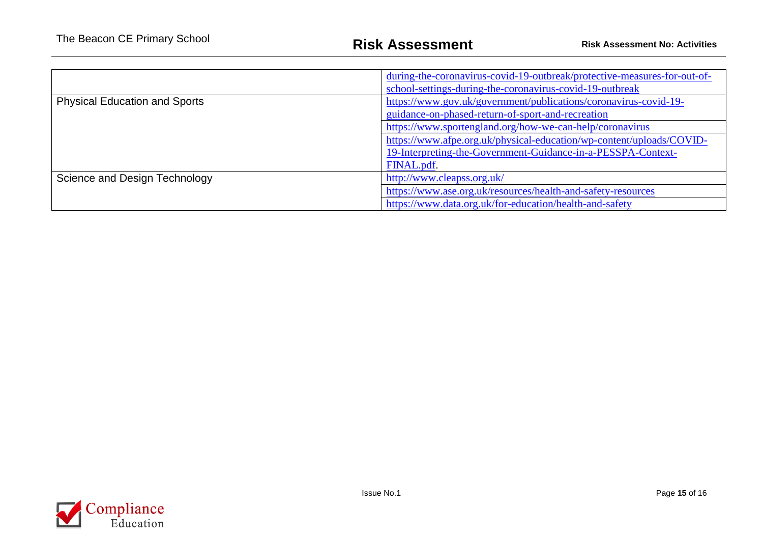|                                      | during-the-coronavirus-covid-19-outbreak/protective-measures-for-out-of-<br>school-settings-during-the-coronavirus-covid-19-outbreak |  |
|--------------------------------------|--------------------------------------------------------------------------------------------------------------------------------------|--|
| <b>Physical Education and Sports</b> | https://www.gov.uk/government/publications/coronavirus-covid-19-<br>guidance-on-phased-return-of-sport-and-recreation                |  |
|                                      | https://www.sportengland.org/how-we-can-help/coronavirus                                                                             |  |
|                                      | https://www.afpe.org.uk/physical-education/wp-content/uploads/COVID-<br>19-Interpreting-the-Government-Guidance-in-a-PESSPA-Context- |  |
|                                      | FINAL.pdf.                                                                                                                           |  |
| Science and Design Technology        | http://www.cleapss.org.uk/                                                                                                           |  |
|                                      | https://www.ase.org.uk/resources/health-and-safety-resources                                                                         |  |
|                                      | https://www.data.org.uk/for-education/health-and-safety                                                                              |  |